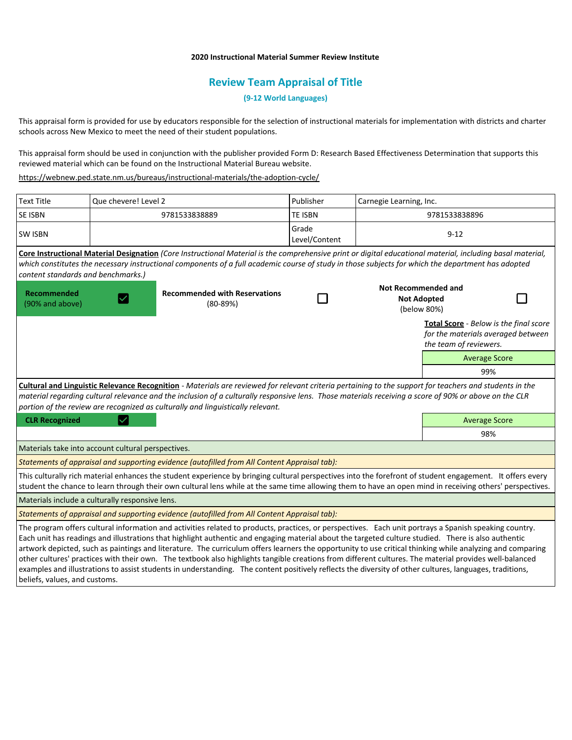## **2020 Instructional Material Summer Review Institute**

# **Review Team Appraisal of Title**

**(9-12 World Languages)**

This appraisal form is provided for use by educators responsible for the selection of instructional materials for implementation with districts and charter schools across New Mexico to meet the need of their student populations.

This appraisal form should be used in conjunction with the publisher provided Form D: Research Based Effectiveness Determination that supports this reviewed material which can be found on the Instructional Material Bureau website.

<https://webnew.ped.state.nm.us/bureaus/instructional-materials/the-adoption-cycle/>

| <b>Text Title</b>                                                                                                                                                                                                                                                                                                                                                                                   | Que chevere! Level 2 |                                                                                                                                                                                                                                                                                                                                                                                                                                                                                                                                                                                                                                      | Publisher              | Carnegie Learning, Inc.                                         |                                                                                                        |  |
|-----------------------------------------------------------------------------------------------------------------------------------------------------------------------------------------------------------------------------------------------------------------------------------------------------------------------------------------------------------------------------------------------------|----------------------|--------------------------------------------------------------------------------------------------------------------------------------------------------------------------------------------------------------------------------------------------------------------------------------------------------------------------------------------------------------------------------------------------------------------------------------------------------------------------------------------------------------------------------------------------------------------------------------------------------------------------------------|------------------------|-----------------------------------------------------------------|--------------------------------------------------------------------------------------------------------|--|
| <b>SE ISBN</b>                                                                                                                                                                                                                                                                                                                                                                                      |                      | 9781533838889                                                                                                                                                                                                                                                                                                                                                                                                                                                                                                                                                                                                                        | <b>TE ISBN</b>         | 9781533838896                                                   |                                                                                                        |  |
| <b>SW ISBN</b>                                                                                                                                                                                                                                                                                                                                                                                      |                      |                                                                                                                                                                                                                                                                                                                                                                                                                                                                                                                                                                                                                                      | Grade<br>Level/Content | $9 - 12$                                                        |                                                                                                        |  |
| content standards and benchmarks.)                                                                                                                                                                                                                                                                                                                                                                  |                      | Core Instructional Material Designation (Core Instructional Material is the comprehensive print or digital educational material, including basal material,<br>which constitutes the necessary instructional components of a full academic course of study in those subjects for which the department has adopted                                                                                                                                                                                                                                                                                                                     |                        |                                                                 |                                                                                                        |  |
| <b>Recommended</b><br>(90% and above)                                                                                                                                                                                                                                                                                                                                                               |                      | <b>Recommended with Reservations</b><br>$(80-89%)$                                                                                                                                                                                                                                                                                                                                                                                                                                                                                                                                                                                   |                        | <b>Not Recommended and</b><br><b>Not Adopted</b><br>(below 80%) |                                                                                                        |  |
|                                                                                                                                                                                                                                                                                                                                                                                                     |                      |                                                                                                                                                                                                                                                                                                                                                                                                                                                                                                                                                                                                                                      |                        |                                                                 | Total Score - Below is the final score<br>for the materials averaged between<br>the team of reviewers. |  |
|                                                                                                                                                                                                                                                                                                                                                                                                     |                      |                                                                                                                                                                                                                                                                                                                                                                                                                                                                                                                                                                                                                                      |                        |                                                                 | <b>Average Score</b>                                                                                   |  |
|                                                                                                                                                                                                                                                                                                                                                                                                     |                      |                                                                                                                                                                                                                                                                                                                                                                                                                                                                                                                                                                                                                                      |                        |                                                                 | 99%                                                                                                    |  |
| Cultural and Linguistic Relevance Recognition - Materials are reviewed for relevant criteria pertaining to the support for teachers and students in the<br>material regarding cultural relevance and the inclusion of a culturally responsive lens. Those materials receiving a score of 90% or above on the CLR<br>portion of the review are recognized as culturally and linguistically relevant. |                      |                                                                                                                                                                                                                                                                                                                                                                                                                                                                                                                                                                                                                                      |                        |                                                                 |                                                                                                        |  |
| <b>CLR Recognized</b>                                                                                                                                                                                                                                                                                                                                                                               |                      |                                                                                                                                                                                                                                                                                                                                                                                                                                                                                                                                                                                                                                      |                        |                                                                 | <b>Average Score</b>                                                                                   |  |
|                                                                                                                                                                                                                                                                                                                                                                                                     |                      |                                                                                                                                                                                                                                                                                                                                                                                                                                                                                                                                                                                                                                      |                        |                                                                 | 98%                                                                                                    |  |
| Materials take into account cultural perspectives.                                                                                                                                                                                                                                                                                                                                                  |                      |                                                                                                                                                                                                                                                                                                                                                                                                                                                                                                                                                                                                                                      |                        |                                                                 |                                                                                                        |  |
|                                                                                                                                                                                                                                                                                                                                                                                                     |                      | Statements of appraisal and supporting evidence (autofilled from All Content Appraisal tab):                                                                                                                                                                                                                                                                                                                                                                                                                                                                                                                                         |                        |                                                                 |                                                                                                        |  |
|                                                                                                                                                                                                                                                                                                                                                                                                     |                      | This culturally rich material enhances the student experience by bringing cultural perspectives into the forefront of student engagement. It offers every<br>student the chance to learn through their own cultural lens while at the same time allowing them to have an open mind in receiving others' perspectives.                                                                                                                                                                                                                                                                                                                |                        |                                                                 |                                                                                                        |  |
| Materials include a culturally responsive lens.                                                                                                                                                                                                                                                                                                                                                     |                      |                                                                                                                                                                                                                                                                                                                                                                                                                                                                                                                                                                                                                                      |                        |                                                                 |                                                                                                        |  |
|                                                                                                                                                                                                                                                                                                                                                                                                     |                      | Statements of appraisal and supporting evidence (autofilled from All Content Appraisal tab):                                                                                                                                                                                                                                                                                                                                                                                                                                                                                                                                         |                        |                                                                 |                                                                                                        |  |
|                                                                                                                                                                                                                                                                                                                                                                                                     |                      | The program offers cultural information and activities related to products, practices, or perspectives. Each unit portrays a Spanish speaking country.<br>Each unit has readings and illustrations that highlight authentic and engaging material about the targeted culture studied. There is also authentic<br>artwork depicted, such as paintings and literature. The curriculum offers learners the opportunity to use critical thinking while analyzing and comparing<br>other cultures' practices with their own. The textbook also highlights tangible creations from different cultures. The material provides well-balanced |                        |                                                                 |                                                                                                        |  |

examples and illustrations to assist students in understanding. The content positively reflects the diversity of other cultures, languages, traditions, beliefs, values, and customs.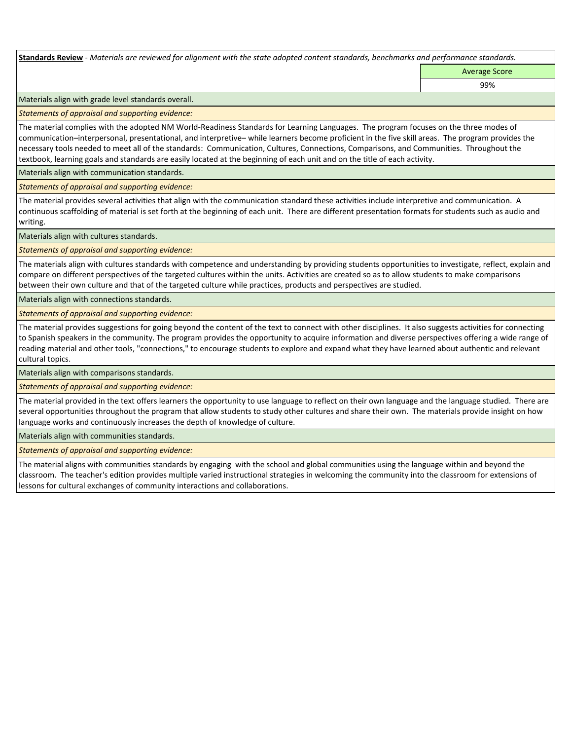**Standards Review** *- Materials are reviewed for alignment with the state adopted content standards, benchmarks and performance standards.*

Average Score

99%

Materials align with grade level standards overall.

*Statements of appraisal and supporting evidence:* 

The material complies with the adopted NM World-Readiness Standards for Learning Languages. The program focuses on the three modes of communication–interpersonal, presentational, and interpretive– while learners become proficient in the five skill areas. The program provides the necessary tools needed to meet all of the standards: Communication, Cultures, Connections, Comparisons, and Communities. Throughout the textbook, learning goals and standards are easily located at the beginning of each unit and on the title of each activity.

Materials align with communication standards.

*Statements of appraisal and supporting evidence:* 

The material provides several activities that align with the communication standard these activities include interpretive and communication. A continuous scaffolding of material is set forth at the beginning of each unit. There are different presentation formats for students such as audio and writing.

Materials align with cultures standards.

*Statements of appraisal and supporting evidence:* 

The materials align with cultures standards with competence and understanding by providing students opportunities to investigate, reflect, explain and compare on different perspectives of the targeted cultures within the units. Activities are created so as to allow students to make comparisons between their own culture and that of the targeted culture while practices, products and perspectives are studied.

Materials align with connections standards.

*Statements of appraisal and supporting evidence:* 

The material provides suggestions for going beyond the content of the text to connect with other disciplines. It also suggests activities for connecting to Spanish speakers in the community. The program provides the opportunity to acquire information and diverse perspectives offering a wide range of reading material and other tools, "connections," to encourage students to explore and expand what they have learned about authentic and relevant cultural topics.

Materials align with comparisons standards.

*Statements of appraisal and supporting evidence:* 

The material provided in the text offers learners the opportunity to use language to reflect on their own language and the language studied. There are several opportunities throughout the program that allow students to study other cultures and share their own. The materials provide insight on how language works and continuously increases the depth of knowledge of culture.

Materials align with communities standards.

*Statements of appraisal and supporting evidence:* 

The material aligns with communities standards by engaging with the school and global communities using the language within and beyond the classroom. The teacher's edition provides multiple varied instructional strategies in welcoming the community into the classroom for extensions of lessons for cultural exchanges of community interactions and collaborations.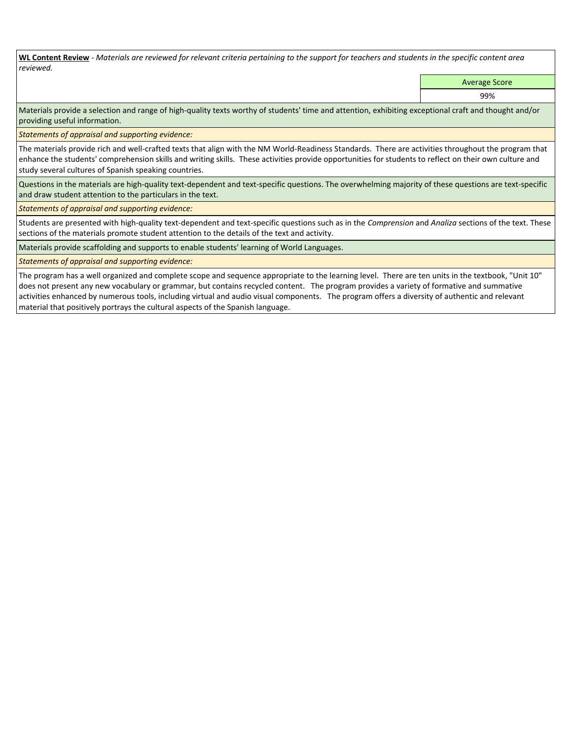**WL Content Review** *- Materials are reviewed for relevant criteria pertaining to the support for teachers and students in the specific content area reviewed.*

Average Score

99%

Materials provide a selection and range of high-quality texts worthy of students' time and attention, exhibiting exceptional craft and thought and/or providing useful information.

*Statements of appraisal and supporting evidence:* 

The materials provide rich and well-crafted texts that align with the NM World-Readiness Standards. There are activities throughout the program that enhance the students' comprehension skills and writing skills. These activities provide opportunities for students to reflect on their own culture and study several cultures of Spanish speaking countries.

Questions in the materials are high-quality text-dependent and text-specific questions. The overwhelming majority of these questions are text-specific and draw student attention to the particulars in the text.

*Statements of appraisal and supporting evidence:* 

Students are presented with high-quality text-dependent and text-specific questions such as in the *Comprension* and *Analiza* sections of the text. These sections of the materials promote student attention to the details of the text and activity.

Materials provide scaffolding and supports to enable students' learning of World Languages.

*Statements of appraisal and supporting evidence:* 

The program has a well organized and complete scope and sequence appropriate to the learning level. There are ten units in the textbook, "Unit 10" does not present any new vocabulary or grammar, but contains recycled content. The program provides a variety of formative and summative activities enhanced by numerous tools, including virtual and audio visual components. The program offers a diversity of authentic and relevant material that positively portrays the cultural aspects of the Spanish language.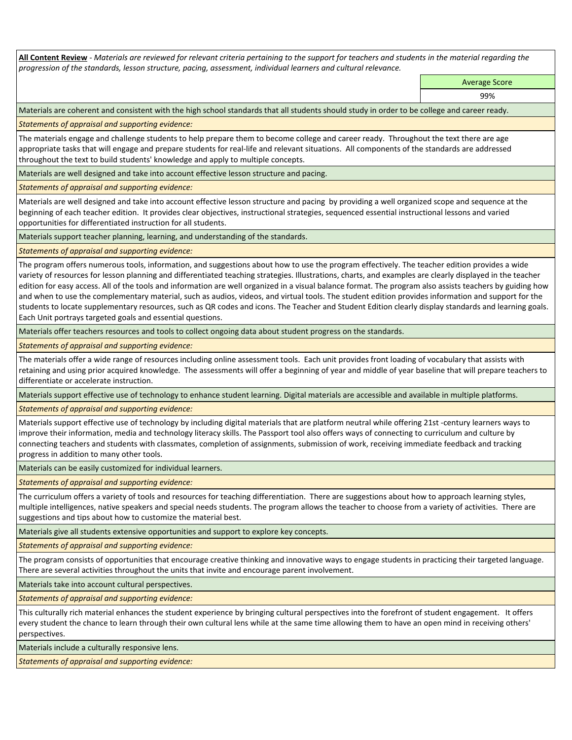**All Content Review** *- Materials are reviewed for relevant criteria pertaining to the support for teachers and students in the material regarding the progression of the standards, lesson structure, pacing, assessment, individual learners and cultural relevance.*

> Average Score 99%

Materials are coherent and consistent with the high school standards that all students should study in order to be college and career ready.

*Statements of appraisal and supporting evidence:*

The materials engage and challenge students to help prepare them to become college and career ready. Throughout the text there are age appropriate tasks that will engage and prepare students for real-life and relevant situations. All components of the standards are addressed throughout the text to build students' knowledge and apply to multiple concepts.

Materials are well designed and take into account effective lesson structure and pacing.

*Statements of appraisal and supporting evidence:*

Materials are well designed and take into account effective lesson structure and pacing by providing a well organized scope and sequence at the beginning of each teacher edition. It provides clear objectives, instructional strategies, sequenced essential instructional lessons and varied opportunities for differentiated instruction for all students.

Materials support teacher planning, learning, and understanding of the standards.

*Statements of appraisal and supporting evidence:*

The program offers numerous tools, information, and suggestions about how to use the program effectively. The teacher edition provides a wide variety of resources for lesson planning and differentiated teaching strategies. Illustrations, charts, and examples are clearly displayed in the teacher edition for easy access. All of the tools and information are well organized in a visual balance format. The program also assists teachers by guiding how and when to use the complementary material, such as audios, videos, and virtual tools. The student edition provides information and support for the students to locate supplementary resources, such as QR codes and icons. The Teacher and Student Edition clearly display standards and learning goals. Each Unit portrays targeted goals and essential questions.

Materials offer teachers resources and tools to collect ongoing data about student progress on the standards.

*Statements of appraisal and supporting evidence:*

The materials offer a wide range of resources including online assessment tools. Each unit provides front loading of vocabulary that assists with retaining and using prior acquired knowledge. The assessments will offer a beginning of year and middle of year baseline that will prepare teachers to differentiate or accelerate instruction.

Materials support effective use of technology to enhance student learning. Digital materials are accessible and available in multiple platforms.

*Statements of appraisal and supporting evidence:*

Materials support effective use of technology by including digital materials that are platform neutral while offering 21st -century learners ways to improve their information, media and technology literacy skills. The Passport tool also offers ways of connecting to curriculum and culture by connecting teachers and students with classmates, completion of assignments, submission of work, receiving immediate feedback and tracking progress in addition to many other tools.

Materials can be easily customized for individual learners.

*Statements of appraisal and supporting evidence:* 

The curriculum offers a variety of tools and resources for teaching differentiation. There are suggestions about how to approach learning styles, multiple intelligences, native speakers and special needs students. The program allows the teacher to choose from a variety of activities. There are suggestions and tips about how to customize the material best.

Materials give all students extensive opportunities and support to explore key concepts.

*Statements of appraisal and supporting evidence:*

The program consists of opportunities that encourage creative thinking and innovative ways to engage students in practicing their targeted language. There are several activities throughout the units that invite and encourage parent involvement.

Materials take into account cultural perspectives.

*Statements of appraisal and supporting evidence:*

This culturally rich material enhances the student experience by bringing cultural perspectives into the forefront of student engagement. It offers every student the chance to learn through their own cultural lens while at the same time allowing them to have an open mind in receiving others' perspectives.

Materials include a culturally responsive lens.

*Statements of appraisal and supporting evidence:*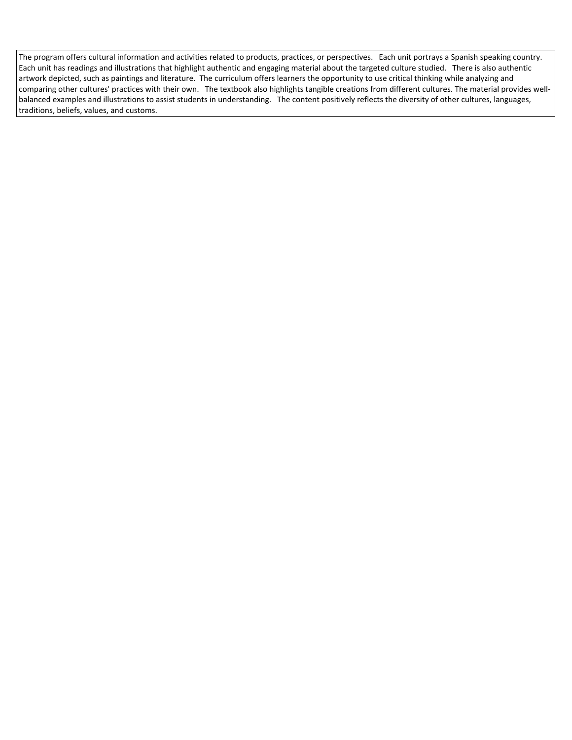The program offers cultural information and activities related to products, practices, or perspectives. Each unit portrays a Spanish speaking country. Each unit has readings and illustrations that highlight authentic and engaging material about the targeted culture studied. There is also authentic artwork depicted, such as paintings and literature. The curriculum offers learners the opportunity to use critical thinking while analyzing and comparing other cultures' practices with their own. The textbook also highlights tangible creations from different cultures. The material provides wellbalanced examples and illustrations to assist students in understanding. The content positively reflects the diversity of other cultures, languages, traditions, beliefs, values, and customs.